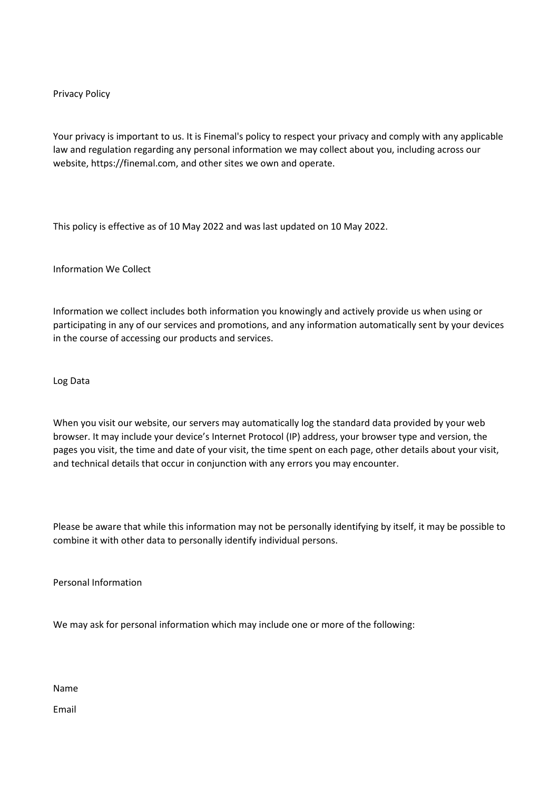## Privacy Policy

Your privacy is important to us. It is Finemal's policy to respect your privacy and comply with any applicable law and regulation regarding any personal information we may collect about you, including across our website, https://finemal.com, and other sites we own and operate.

This policy is effective as of 10 May 2022 and was last updated on 10 May 2022.

Information We Collect

Information we collect includes both information you knowingly and actively provide us when using or participating in any of our services and promotions, and any information automatically sent by your devices in the course of accessing our products and services.

Log Data

When you visit our website, our servers may automatically log the standard data provided by your web browser. It may include your device's Internet Protocol (IP) address, your browser type and version, the pages you visit, the time and date of your visit, the time spent on each page, other details about your visit, and technical details that occur in conjunction with any errors you may encounter.

Please be aware that while this information may not be personally identifying by itself, it may be possible to combine it with other data to personally identify individual persons.

Personal Information

We may ask for personal information which may include one or more of the following:

Name

Email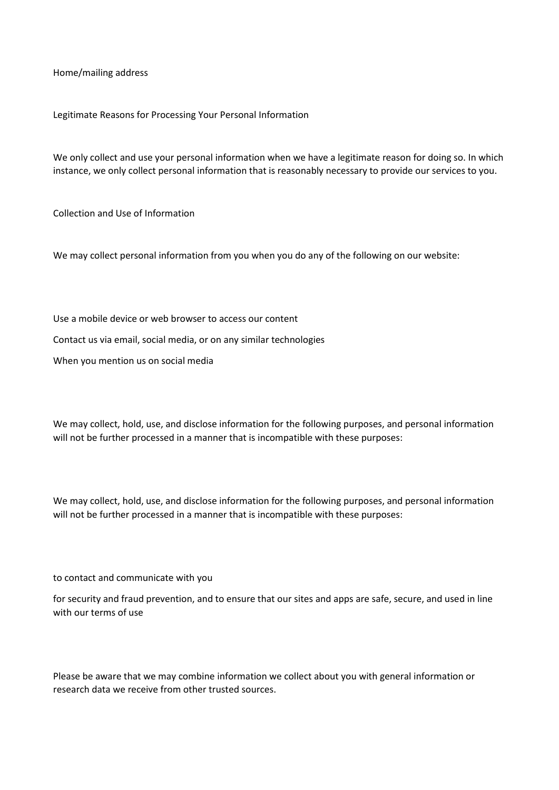Home/mailing address

Legitimate Reasons for Processing Your Personal Information

We only collect and use your personal information when we have a legitimate reason for doing so. In which instance, we only collect personal information that is reasonably necessary to provide our services to you.

Collection and Use of Information

We may collect personal information from you when you do any of the following on our website:

Use a mobile device or web browser to access our content Contact us via email, social media, or on any similar technologies When you mention us on social media

We may collect, hold, use, and disclose information for the following purposes, and personal information will not be further processed in a manner that is incompatible with these purposes:

We may collect, hold, use, and disclose information for the following purposes, and personal information will not be further processed in a manner that is incompatible with these purposes:

to contact and communicate with you

for security and fraud prevention, and to ensure that our sites and apps are safe, secure, and used in line with our terms of use

Please be aware that we may combine information we collect about you with general information or research data we receive from other trusted sources.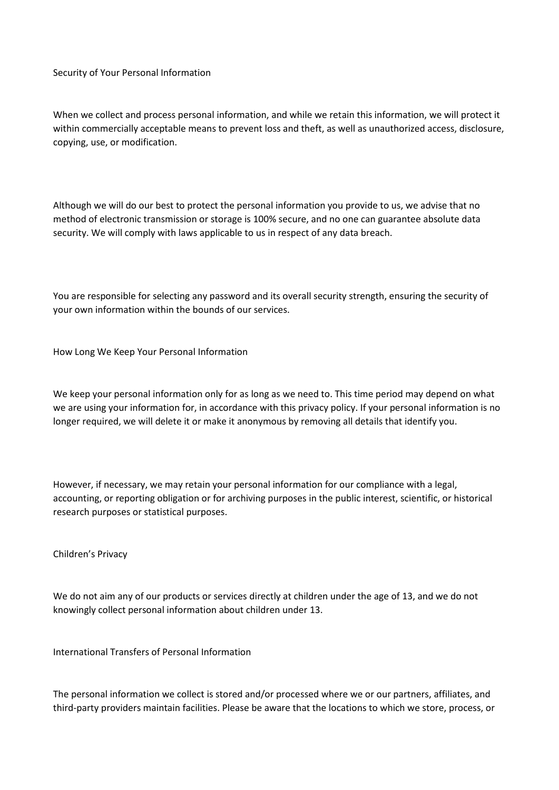Security of Your Personal Information

When we collect and process personal information, and while we retain this information, we will protect it within commercially acceptable means to prevent loss and theft, as well as unauthorized access, disclosure, copying, use, or modification.

Although we will do our best to protect the personal information you provide to us, we advise that no method of electronic transmission or storage is 100% secure, and no one can guarantee absolute data security. We will comply with laws applicable to us in respect of any data breach.

You are responsible for selecting any password and its overall security strength, ensuring the security of your own information within the bounds of our services.

How Long We Keep Your Personal Information

We keep your personal information only for as long as we need to. This time period may depend on what we are using your information for, in accordance with this privacy policy. If your personal information is no longer required, we will delete it or make it anonymous by removing all details that identify you.

However, if necessary, we may retain your personal information for our compliance with a legal, accounting, or reporting obligation or for archiving purposes in the public interest, scientific, or historical research purposes or statistical purposes.

Children's Privacy

We do not aim any of our products or services directly at children under the age of 13, and we do not knowingly collect personal information about children under 13.

International Transfers of Personal Information

The personal information we collect is stored and/or processed where we or our partners, affiliates, and third-party providers maintain facilities. Please be aware that the locations to which we store, process, or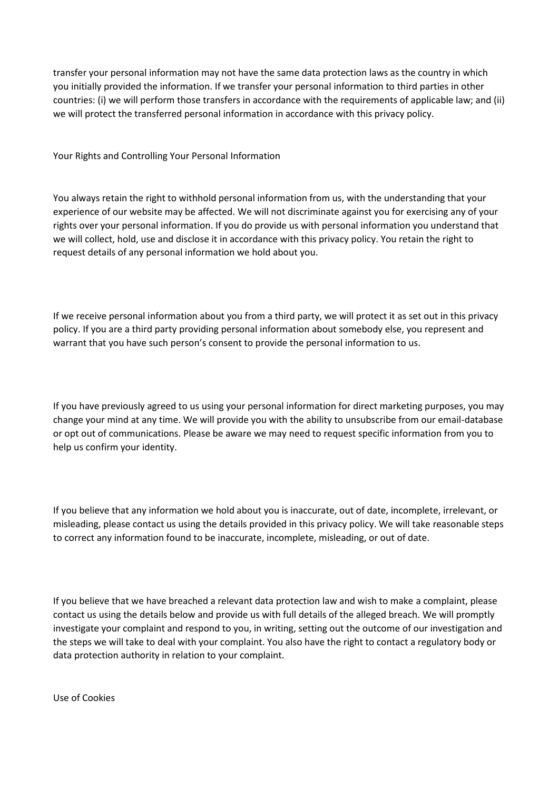transfer your personal information may not have the same data protection laws as the country in which you initially provided the information. If we transfer your personal information to third parties in other countries: (i) we will perform those transfers in accordance with the requirements of applicable law; and (ii) we will protect the transferred personal information in accordance with this privacy policy.

Your Rights and Controlling Your Personal Information

You always retain the right to withhold personal information from us, with the understanding that your experience of our website may be affected. We will not discriminate against you for exercising any of your rights over your personal information. If you do provide us with personal information you understand that we will collect, hold, use and disclose it in accordance with this privacy policy. You retain the right to request details of any personal information we hold about you.

If we receive personal information about you from a third party, we will protect it as set out in this privacy policy. If you are a third party providing personal information about somebody else, you represent and warrant that you have such person's consent to provide the personal information to us.

If you have previously agreed to us using your personal information for direct marketing purposes, you may change your mind at any time. We will provide you with the ability to unsubscribe from our email-database or opt out of communications. Please be aware we may need to request specific information from you to help us confirm your identity.

If you believe that any information we hold about you is inaccurate, out of date, incomplete, irrelevant, or misleading, please contact us using the details provided in this privacy policy. We will take reasonable steps to correct any information found to be inaccurate, incomplete, misleading, or out of date.

If you believe that we have breached a relevant data protection law and wish to make a complaint, please contact us using the details below and provide us with full details of the alleged breach. We will promptly investigate your complaint and respond to you, in writing, setting out the outcome of our investigation and the steps we will take to deal with your complaint. You also have the right to contact a regulatory body or data protection authority in relation to your complaint.

Use of Cookies